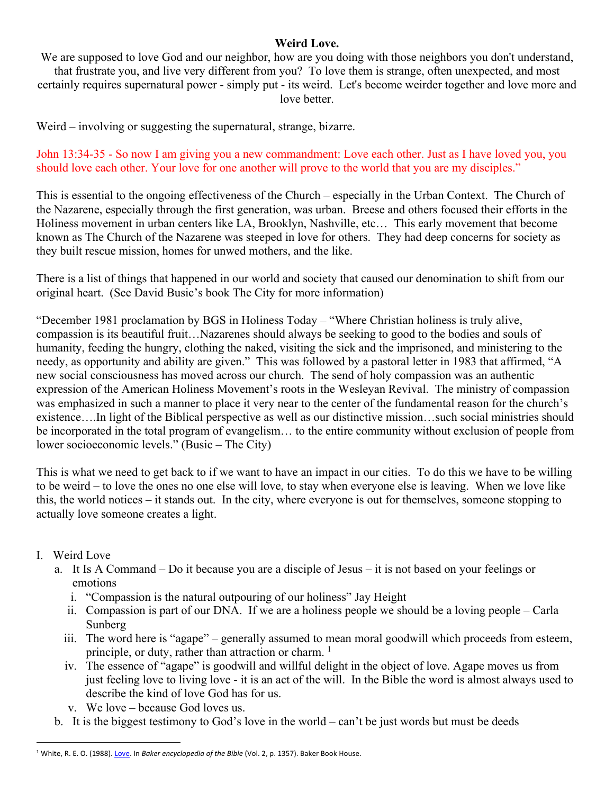## **Weird Love.**

We are supposed to love God and our neighbor, how are you doing with those neighbors you don't understand, that frustrate you, and live very different from you? To love them is strange, often unexpected, and most certainly requires supernatural power - simply put - its weird. Let's become weirder together and love more and love better.

Weird – involving or suggesting the supernatural, strange, bizarre.

John 13:34-35 - So now I am giving you a new commandment: Love each other. Just as I have loved you, you should love each other. Your love for one another will prove to the world that you are my disciples."

This is essential to the ongoing effectiveness of the Church – especially in the Urban Context. The Church of the Nazarene, especially through the first generation, was urban. Breese and others focused their efforts in the Holiness movement in urban centers like LA, Brooklyn, Nashville, etc… This early movement that become known as The Church of the Nazarene was steeped in love for others. They had deep concerns for society as they built rescue mission, homes for unwed mothers, and the like.

There is a list of things that happened in our world and society that caused our denomination to shift from our original heart. (See David Busic's book The City for more information)

"December 1981 proclamation by BGS in Holiness Today – "Where Christian holiness is truly alive, compassion is its beautiful fruit…Nazarenes should always be seeking to good to the bodies and souls of humanity, feeding the hungry, clothing the naked, visiting the sick and the imprisoned, and ministering to the needy, as opportunity and ability are given." This was followed by a pastoral letter in 1983 that affirmed, "A new social consciousness has moved across our church. The send of holy compassion was an authentic expression of the American Holiness Movement's roots in the Wesleyan Revival. The ministry of compassion was emphasized in such a manner to place it very near to the center of the fundamental reason for the church's existence….In light of the Biblical perspective as well as our distinctive mission…such social ministries should be incorporated in the total program of evangelism… to the entire community without exclusion of people from lower socioeconomic levels." (Busic – The City)

This is what we need to get back to if we want to have an impact in our cities. To do this we have to be willing to be weird – to love the ones no one else will love, to stay when everyone else is leaving. When we love like this, the world notices – it stands out. In the city, where everyone is out for themselves, someone stopping to actually love someone creates a light.

## I. Weird Love

- a. It Is A Command Do it because you are a disciple of Jesus it is not based on your feelings or emotions
	- i. "Compassion is the natural outpouring of our holiness" Jay Height
	- ii. Compassion is part of our DNA. If we are a holiness people we should be a loving people Carla Sunberg
	- iii. The word here is "agape" generally assumed to mean moral goodwill which proceeds from esteem, principle, or duty, rather than attraction or charm.<sup>1</sup>
	- iv. The essence of "agape" is goodwill and willful delight in the object of love. Agape moves us from just feeling love to living love - it is an act of the will. In the Bible the word is almost always used to describe the kind of love God has for us.
	- v. We love because God loves us.
- b. It is the biggest testimony to God's love in the world can't be just words but must be deeds

<sup>&</sup>lt;sup>1</sup> White, R. E. O. (1988). Love. In *Baker encyclopedia of the Bible* (Vol. 2, p. 1357). Baker Book House.